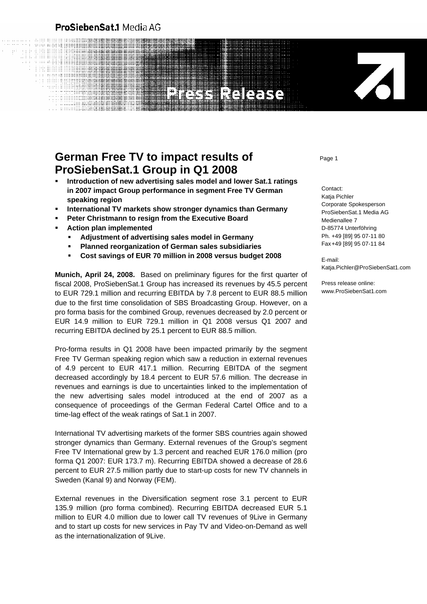## ProSiebenSat.1 Media AG

## **EEIGERS**

## **German Free TV to impact results of** *Page* **1 ProSiebenSat.1 Group in Q1 2008**

- **Introduction of new advertising sales model and lower Sat.1 ratings in 2007 impact Group performance in segment Free TV German speaking region**
- **International TV markets show stronger dynamics than Germany**
- **Peter Christmann to resign from the Executive Board**
- **Action plan implemented** 
	- **Adjustment of advertising sales model in Germany**
	- **Planned reorganization of German sales subsidiaries**
	- **Cost savings of EUR 70 million in 2008 versus budget 2008**

**Munich, April 24, 2008.** Based on preliminary figures for the first quarter of fiscal 2008, ProSiebenSat.1 Group has increased its revenues by 45.5 percent to EUR 729.1 million and recurring EBITDA by 7.8 percent to EUR 88.5 million due to the first time consolidation of SBS Broadcasting Group. However, on a pro forma basis for the combined Group, revenues decreased by 2.0 percent or EUR 14.9 million to EUR 729.1 million in Q1 2008 versus Q1 2007 and recurring EBITDA declined by 25.1 percent to EUR 88.5 million.

Pro-forma results in Q1 2008 have been impacted primarily by the segment Free TV German speaking region which saw a reduction in external revenues of 4.9 percent to EUR 417.1 million. Recurring EBITDA of the segment decreased accordingly by 18.4 percent to EUR 57.6 million. The decrease in revenues and earnings is due to uncertainties linked to the implementation of the new advertising sales model introduced at the end of 2007 as a consequence of proceedings of the German Federal Cartel Office and to a time-lag effect of the weak ratings of Sat.1 in 2007.

International TV advertising markets of the former SBS countries again showed stronger dynamics than Germany. External revenues of the Group's segment Free TV International grew by 1.3 percent and reached EUR 176.0 million (pro forma Q1 2007: EUR 173.7 m). Recurring EBITDA showed a decrease of 28.6 percent to EUR 27.5 million partly due to start-up costs for new TV channels in Sweden (Kanal 9) and Norway (FEM).

External revenues in the Diversification segment rose 3.1 percent to EUR 135.9 million (pro forma combined). Recurring EBITDA decreased EUR 5.1 million to EUR 4.0 million due to lower call TV revenues of 9Live in Germany and to start up costs for new services in Pay TV and Video-on-Demand as well as the internationalization of 9Live.

Contact: Katja Pichler Corporate Spokesperson ProSiebenSat.1 Media AG Medienallee 7 D-85774 Unterföhring Ph. +49 [89] 95 07-11 80 Fax +49 [89] 95 07-11 84

E-mail: Katia.Pichler@ProSiebenSat1.com

Z

Press release online: www.ProSiebenSat1.com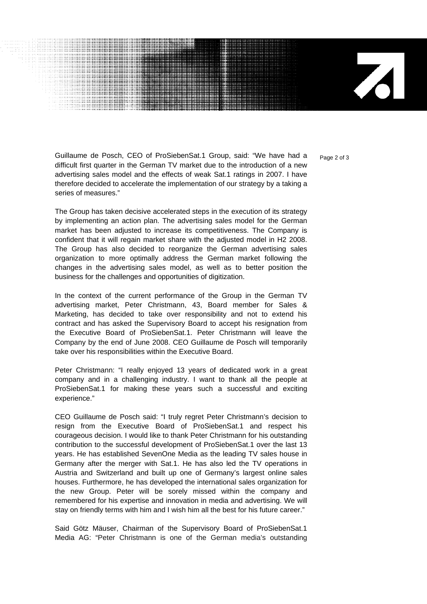$\mathbf{Z}$ 

Guillaume de Posch, CEO of ProSiebenSat.1 Group, said: "We have had a page 2 of 3 difficult first quarter in the German TV market due to the introduction of a new advertising sales model and the effects of weak Sat.1 ratings in 2007. I have therefore decided to accelerate the implementation of our strategy by a taking a series of measures."

................................

The Group has taken decisive accelerated steps in the execution of its strategy by implementing an action plan. The advertising sales model for the German market has been adjusted to increase its competitiveness. The Company is confident that it will regain market share with the adjusted model in H2 2008. The Group has also decided to reorganize the German advertising sales organization to more optimally address the German market following the changes in the advertising sales model, as well as to better position the business for the challenges and opportunities of digitization.

In the context of the current performance of the Group in the German TV advertising market, Peter Christmann, 43, Board member for Sales & Marketing, has decided to take over responsibility and not to extend his contract and has asked the Supervisory Board to accept his resignation from the Executive Board of ProSiebenSat.1. Peter Christmann will leave the Company by the end of June 2008. CEO Guillaume de Posch will temporarily take over his responsibilities within the Executive Board.

Peter Christmann: "I really enjoyed 13 years of dedicated work in a great company and in a challenging industry. I want to thank all the people at ProSiebenSat.1 for making these years such a successful and exciting experience."

CEO Guillaume de Posch said: "I truly regret Peter Christmann's decision to resign from the Executive Board of ProSiebenSat.1 and respect his courageous decision. I would like to thank Peter Christmann for his outstanding contribution to the successful development of ProSiebenSat.1 over the last 13 years. He has established SevenOne Media as the leading TV sales house in Germany after the merger with Sat.1. He has also led the TV operations in Austria and Switzerland and built up one of Germany's largest online sales houses. Furthermore, he has developed the international sales organization for the new Group. Peter will be sorely missed within the company and remembered for his expertise and innovation in media and advertising. We will stay on friendly terms with him and I wish him all the best for his future career."

Said Götz Mäuser, Chairman of the Supervisory Board of ProSiebenSat.1 Media AG: "Peter Christmann is one of the German media's outstanding